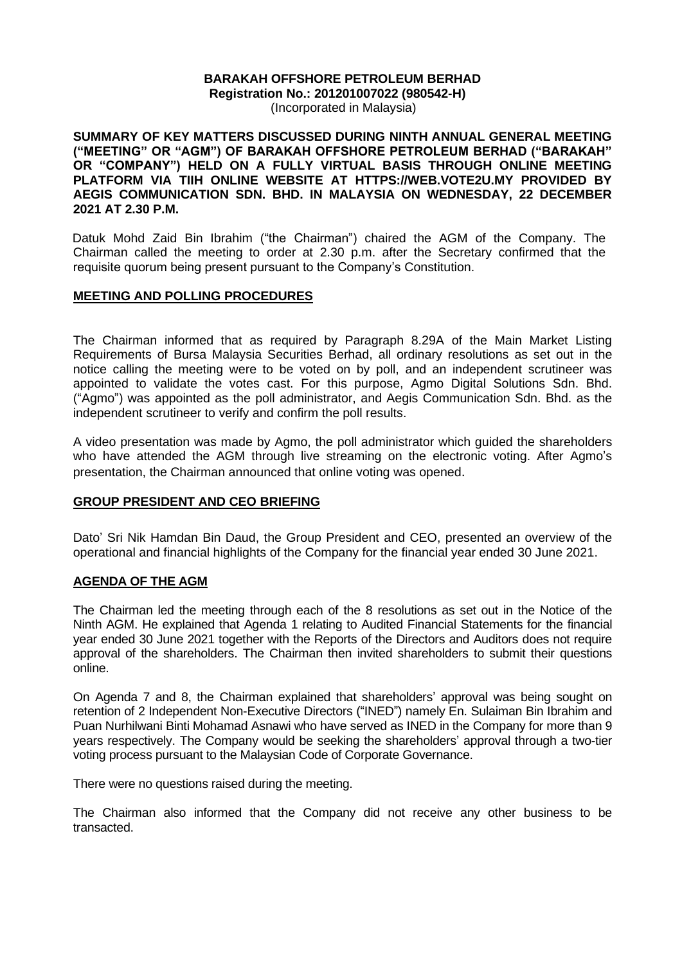#### **BARAKAH OFFSHORE PETROLEUM BERHAD Registration No.: 201201007022 (980542-H)** (Incorporated in Malaysia)

**SUMMARY OF KEY MATTERS DISCUSSED DURING NINTH ANNUAL GENERAL MEETING ("MEETING" OR "AGM") OF BARAKAH OFFSHORE PETROLEUM BERHAD ("BARAKAH" OR "COMPANY") HELD ON A FULLY VIRTUAL BASIS THROUGH ONLINE MEETING PLATFORM VIA TIIH ONLINE WEBSITE AT HTTPS://WEB.VOTE2U.MY PROVIDED BY AEGIS COMMUNICATION SDN. BHD. IN MALAYSIA ON WEDNESDAY, 22 DECEMBER 2021 AT 2.30 P.M.**

Datuk Mohd Zaid Bin Ibrahim ("the Chairman") chaired the AGM of the Company. The Chairman called the meeting to order at 2.30 p.m. after the Secretary confirmed that the requisite quorum being present pursuant to the Company's Constitution.

#### **MEETING AND POLLING PROCEDURES**

The Chairman informed that as required by Paragraph 8.29A of the Main Market Listing Requirements of Bursa Malaysia Securities Berhad, all ordinary resolutions as set out in the notice calling the meeting were to be voted on by poll, and an independent scrutineer was appointed to validate the votes cast. For this purpose, Agmo Digital Solutions Sdn. Bhd. ("Agmo") was appointed as the poll administrator, and Aegis Communication Sdn. Bhd. as the independent scrutineer to verify and confirm the poll results.

A video presentation was made by Agmo, the poll administrator which guided the shareholders who have attended the AGM through live streaming on the electronic voting. After Agmo's presentation, the Chairman announced that online voting was opened.

#### **GROUP PRESIDENT AND CEO BRIEFING**

Dato' Sri Nik Hamdan Bin Daud, the Group President and CEO, presented an overview of the operational and financial highlights of the Company for the financial year ended 30 June 2021.

## **AGENDA OF THE AGM**

The Chairman led the meeting through each of the 8 resolutions as set out in the Notice of the Ninth AGM. He explained that Agenda 1 relating to Audited Financial Statements for the financial year ended 30 June 2021 together with the Reports of the Directors and Auditors does not require approval of the shareholders. The Chairman then invited shareholders to submit their questions online.

On Agenda 7 and 8, the Chairman explained that shareholders' approval was being sought on retention of 2 Independent Non-Executive Directors ("INED") namely En. Sulaiman Bin Ibrahim and Puan Nurhilwani Binti Mohamad Asnawi who have served as INED in the Company for more than 9 years respectively. The Company would be seeking the shareholders' approval through a two-tier voting process pursuant to the Malaysian Code of Corporate Governance.

There were no questions raised during the meeting.

The Chairman also informed that the Company did not receive any other business to be transacted.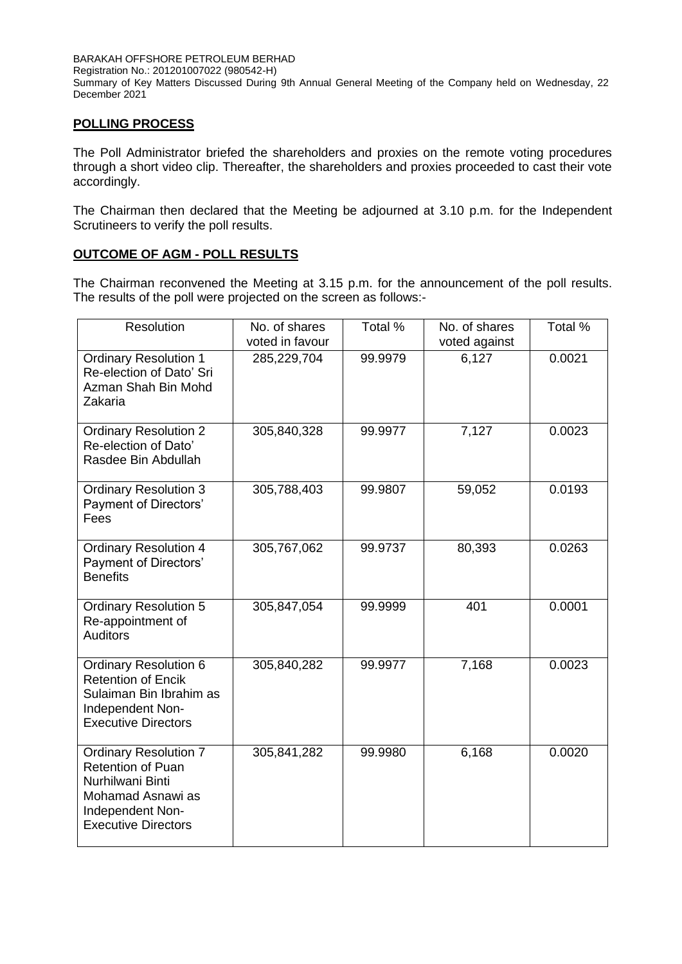BARAKAH OFFSHORE PETROLEUM BERHAD Registration No.: 201201007022 (980542-H) Summary of Key Matters Discussed During 9th Annual General Meeting of the Company held on Wednesday, 22 December 2021

## **POLLING PROCESS**

The Poll Administrator briefed the shareholders and proxies on the remote voting procedures through a short video clip. Thereafter, the shareholders and proxies proceeded to cast their vote accordingly.

The Chairman then declared that the Meeting be adjourned at 3.10 p.m. for the Independent Scrutineers to verify the poll results.

# **OUTCOME OF AGM - POLL RESULTS**

The Chairman reconvened the Meeting at 3.15 p.m. for the announcement of the poll results. The results of the poll were projected on the screen as follows:-

| Resolution                                                                                                                                          | No. of shares<br>voted in favour | Total % | No. of shares<br>voted against | Total % |
|-----------------------------------------------------------------------------------------------------------------------------------------------------|----------------------------------|---------|--------------------------------|---------|
| <b>Ordinary Resolution 1</b><br>Re-election of Dato' Sri<br>Azman Shah Bin Mohd<br>Zakaria                                                          | 285,229,704                      | 99.9979 | 6,127                          | 0.0021  |
| <b>Ordinary Resolution 2</b><br>Re-election of Dato'<br>Rasdee Bin Abdullah                                                                         | 305,840,328                      | 99.9977 | 7,127                          | 0.0023  |
| <b>Ordinary Resolution 3</b><br><b>Payment of Directors'</b><br>Fees                                                                                | 305,788,403                      | 99.9807 | 59,052                         | 0.0193  |
| <b>Ordinary Resolution 4</b><br><b>Payment of Directors'</b><br><b>Benefits</b>                                                                     | 305,767,062                      | 99.9737 | 80,393                         | 0.0263  |
| <b>Ordinary Resolution 5</b><br>Re-appointment of<br><b>Auditors</b>                                                                                | 305,847,054                      | 99.9999 | 401                            | 0.0001  |
| <b>Ordinary Resolution 6</b><br><b>Retention of Encik</b><br>Sulaiman Bin Ibrahim as<br>Independent Non-<br><b>Executive Directors</b>              | 305,840,282                      | 99.9977 | 7,168                          | 0.0023  |
| <b>Ordinary Resolution 7</b><br><b>Retention of Puan</b><br>Nurhilwani Binti<br>Mohamad Asnawi as<br>Independent Non-<br><b>Executive Directors</b> | 305,841,282                      | 99.9980 | 6,168                          | 0.0020  |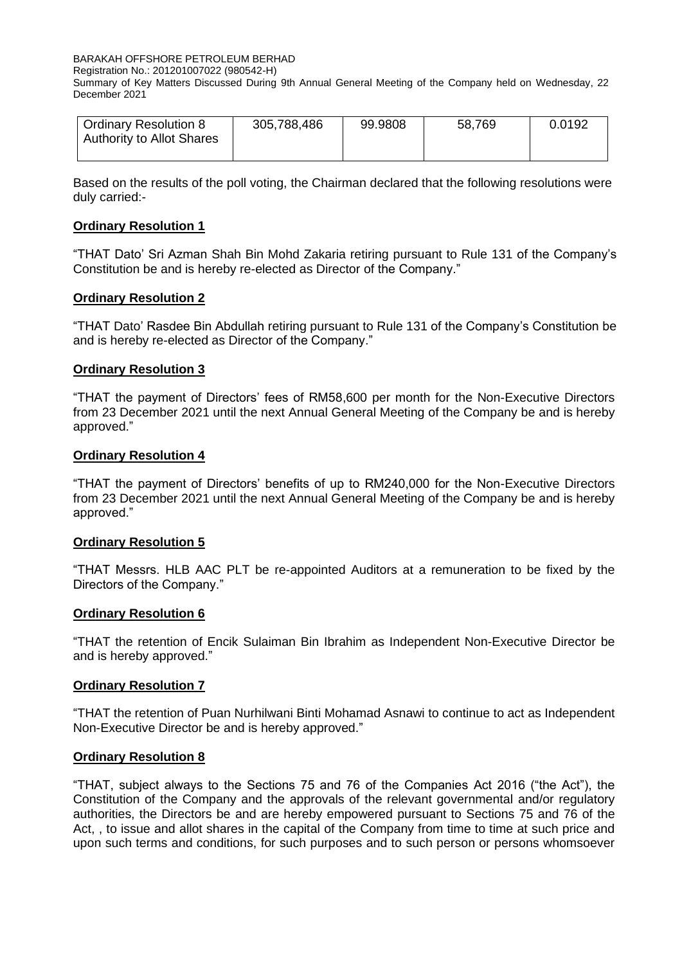BARAKAH OFFSHORE PETROLEUM BERHAD

Registration No.: 201201007022 (980542-H)

Summary of Key Matters Discussed During 9th Annual General Meeting of the Company held on Wednesday, 22 December 2021

| <b>Ordinary Resolution 8</b><br><b>Authority to Allot Shares</b> | 305,788,486 | 99.9808 | 58,769 | 0.0192 |
|------------------------------------------------------------------|-------------|---------|--------|--------|
|                                                                  |             |         |        |        |

Based on the results of the poll voting, the Chairman declared that the following resolutions were duly carried:-

## **Ordinary Resolution 1**

"THAT Dato' Sri Azman Shah Bin Mohd Zakaria retiring pursuant to Rule 131 of the Company's Constitution be and is hereby re-elected as Director of the Company."

# **Ordinary Resolution 2**

"THAT Dato' Rasdee Bin Abdullah retiring pursuant to Rule 131 of the Company's Constitution be and is hereby re-elected as Director of the Company."

## **Ordinary Resolution 3**

"THAT the payment of Directors' fees of RM58,600 per month for the Non-Executive Directors from 23 December 2021 until the next Annual General Meeting of the Company be and is hereby approved."

#### **Ordinary Resolution 4**

"THAT the payment of Directors' benefits of up to RM240,000 for the Non-Executive Directors from 23 December 2021 until the next Annual General Meeting of the Company be and is hereby approved."

## **Ordinary Resolution 5**

"THAT Messrs. HLB AAC PLT be re-appointed Auditors at a remuneration to be fixed by the Directors of the Company."

## **Ordinary Resolution 6**

"THAT the retention of Encik Sulaiman Bin Ibrahim as Independent Non-Executive Director be and is hereby approved."

#### **Ordinary Resolution 7**

"THAT the retention of Puan Nurhilwani Binti Mohamad Asnawi to continue to act as Independent Non-Executive Director be and is hereby approved."

## **Ordinary Resolution 8**

"THAT, subject always to the Sections 75 and 76 of the Companies Act 2016 ("the Act"), the Constitution of the Company and the approvals of the relevant governmental and/or regulatory authorities, the Directors be and are hereby empowered pursuant to Sections 75 and 76 of the Act, , to issue and allot shares in the capital of the Company from time to time at such price and upon such terms and conditions, for such purposes and to such person or persons whomsoever